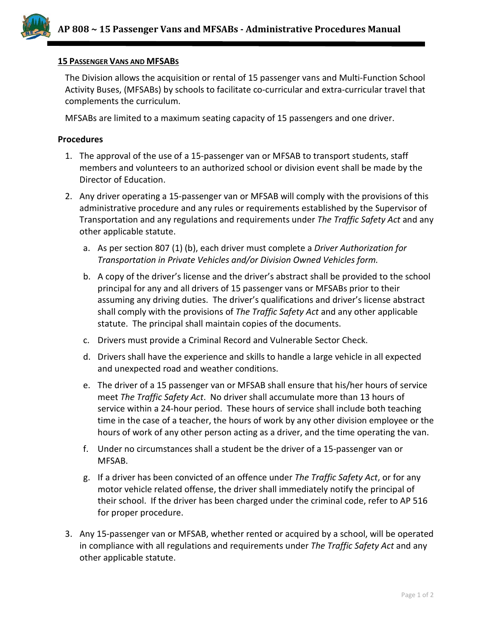

## **15 PASSENGER VANS AND MFSABS**

The Division allows the acquisition or rental of 15 passenger vans and Multi-Function School Activity Buses, (MFSABs) by schools to facilitate co-curricular and extra-curricular travel that complements the curriculum.

MFSABs are limited to a maximum seating capacity of 15 passengers and one driver.

## **Procedures**

- 1. The approval of the use of a 15-passenger van or MFSAB to transport students, staff members and volunteers to an authorized school or division event shall be made by the Director of Education.
- 2. Any driver operating a 15-passenger van or MFSAB will comply with the provisions of this administrative procedure and any rules or requirements established by the Supervisor of Transportation and any regulations and requirements under *The Traffic Safety Act* and any other applicable statute.
	- a. As per section 807 (1) (b), each driver must complete a *Driver Authorization for Transportation in Private Vehicles and/or Division Owned Vehicles form.*
	- b. A copy of the driver's license and the driver's abstract shall be provided to the school principal for any and all drivers of 15 passenger vans or MFSABs prior to their assuming any driving duties. The driver's qualifications and driver's license abstract shall comply with the provisions of *The Traffic Safety Act* and any other applicable statute. The principal shall maintain copies of the documents.
	- c. Drivers must provide a Criminal Record and Vulnerable Sector Check.
	- d. Drivers shall have the experience and skills to handle a large vehicle in all expected and unexpected road and weather conditions.
	- e. The driver of a 15 passenger van or MFSAB shall ensure that his/her hours of service meet *The Traffic Safety Act*. No driver shall accumulate more than 13 hours of service within a 24-hour period. These hours of service shall include both teaching time in the case of a teacher, the hours of work by any other division employee or the hours of work of any other person acting as a driver, and the time operating the van.
	- f. Under no circumstances shall a student be the driver of a 15-passenger van or MFSAB.
	- g. If a driver has been convicted of an offence under *The Traffic Safety Act*, or for any motor vehicle related offense, the driver shall immediately notify the principal of their school. If the driver has been charged under the criminal code, refer to AP 516 for proper procedure.
- 3. Any 15-passenger van or MFSAB, whether rented or acquired by a school, will be operated in compliance with all regulations and requirements under *The Traffic Safety Act* and any other applicable statute.